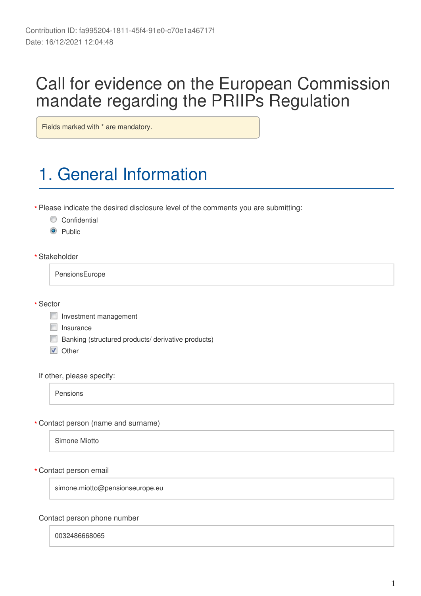## Call for evidence on the European Commission mandate regarding the PRIIP's Regulation

Fields marked with \* are mandatory.

# 1. General Information

Please indicate the desired disclosure level of the comments you are submitting: **\***

- Confidential
- <sup>O</sup> Public
- Stakeholder **\***

PensionsEurope

Sector **\***

- Investment management
- $\Box$  Insurance
- **Banking (structured products/ derivative products)**
- **V** Other

If other, please specify:

Pensions

Contact person (name and surname) **\***

Simone Miotto

Contact person email **\***

simone.miotto@pensionseurope.eu

#### Contact person phone number

0032486668065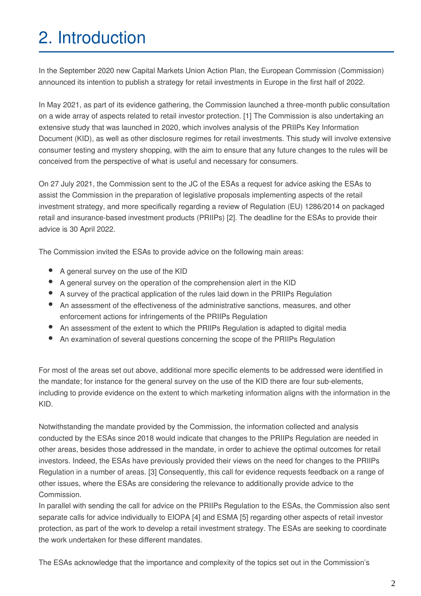# 2. Introduction

In the September 2020 new Capital Markets Union Action Plan, the European Commission (Commission) announced its intention to publish a strategy for retail investments in Europe in the first half of 2022.

In May 2021, as part of its evidence gathering, the Commission launched a three-month public consultation on a wide array of aspects related to retail investor protection. [1] The Commission is also undertaking an extensive study that was launched in 2020, which involves analysis of the PRIIPs Key Information Document (KID), as well as other disclosure regimes for retail investments. This study will involve extensive consumer testing and mystery shopping, with the aim to ensure that any future changes to the rules will be conceived from the perspective of what is useful and necessary for consumers.

On 27 July 2021, the Commission sent to the JC of the ESAs a request for advice asking the ESAs to assist the Commission in the preparation of legislative proposals implementing aspects of the retail investment strategy, and more specifically regarding a review of Regulation (EU) 1286/2014 on packaged retail and insurance-based investment products (PRIIPs) [2]. The deadline for the ESAs to provide their advice is 30 April 2022.

The Commission invited the ESAs to provide advice on the following main areas:

- A general survey on the use of the KID
- A general survey on the operation of the comprehension alert in the KID
- A survey of the practical application of the rules laid down in the PRIIPs Regulation
- An assessment of the effectiveness of the administrative sanctions, measures, and other enforcement actions for infringements of the PRIIPs Regulation
- An assessment of the extent to which the PRIIPs Regulation is adapted to digital media
- An examination of several questions concerning the scope of the PRIIPs Regulation

For most of the areas set out above, additional more specific elements to be addressed were identified in the mandate; for instance for the general survey on the use of the KID there are four sub-elements, including to provide evidence on the extent to which marketing information aligns with the information in the KID.

Notwithstanding the mandate provided by the Commission, the information collected and analysis conducted by the ESAs since 2018 would indicate that changes to the PRIIPs Regulation are needed in other areas, besides those addressed in the mandate, in order to achieve the optimal outcomes for retail investors. Indeed, the ESAs have previously provided their views on the need for changes to the PRIIPs Regulation in a number of areas. [3] Consequently, this call for evidence requests feedback on a range of other issues, where the ESAs are considering the relevance to additionally provide advice to the Commission.

In parallel with sending the call for advice on the PRIIPs Regulation to the ESAs, the Commission also sent separate calls for advice individually to EIOPA [4] and ESMA [5] regarding other aspects of retail investor protection, as part of the work to develop a retail investment strategy. The ESAs are seeking to coordinate the work undertaken for these different mandates.

The ESAs acknowledge that the importance and complexity of the topics set out in the Commission's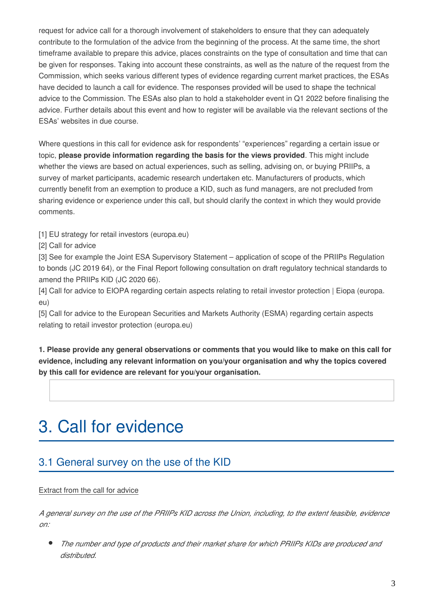request for advice call for a thorough involvement of stakeholders to ensure that they can adequately contribute to the formulation of the advice from the beginning of the process. At the same time, the short timeframe available to prepare this advice, places constraints on the type of consultation and time that can be given for responses. Taking into account these constraints, as well as the nature of the request from the Commission, which seeks various different types of evidence regarding current market practices, the ESAs have decided to launch a call for evidence. The responses provided will be used to shape the technical advice to the Commission. The ESAs also plan to hold a stakeholder event in Q1 2022 before finalising the advice. Further details about this event and how to register will be available via the relevant sections of the ESAs' websites in due course.

Where questions in this call for evidence ask for respondents' "experiences" regarding a certain issue or topic, **please provide information regarding the basis for the views provided**. This might include whether the views are based on actual experiences, such as selling, advising on, or buying PRIIPs, a survey of market participants, academic research undertaken etc. Manufacturers of products, which currently benefit from an exemption to produce a KID, such as fund managers, are not precluded from sharing evidence or experience under this call, but should clarify the context in which they would provide comments.

[1] EU strategy for retail investors (europa.eu)

[2] Call for advice

[3] See for example the Joint ESA Supervisory Statement – application of scope of the PRIIPs Regulation to bonds (JC 2019 64), or the Final Report following consultation on draft regulatory technical standards to amend the PRIIPs KID (JC 2020 66).

[4] Call for advice to EIOPA regarding certain aspects relating to retail investor protection | Eiopa (europa. eu)

[5] Call for advice to the European Securities and Markets Authority (ESMA) regarding certain aspects relating to retail investor protection (europa.eu)

**1. Please provide any general observations or comments that you would like to make on this call for evidence, including any relevant information on you/your organisation and why the topics covered by this call for evidence are relevant for you/your organisation.**

## 3. Call for evidence

## 3.1 General survey on the use of the KID

#### Extract from the call for advice

*A general survey on the use of the PRIIPs KID across the Union, including, to the extent feasible, evidence on:*

*The number and type of products and their market share for which PRIIPs KIDs are produced and distributed.*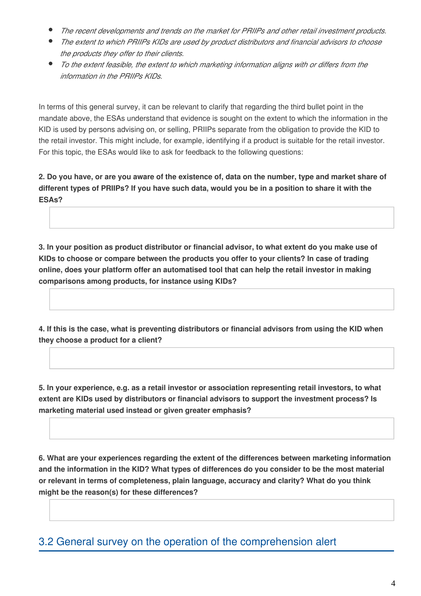- *The recent developments and trends on the market for PRIIPs and other retail investment products.*
- *The extent to which PRIIPs KIDs are used by product distributors and financial advisors to choose the products they offer to their clients.*
- *To the extent feasible, the extent to which marketing information aligns with or differs from the information in the PRIIPs KIDs.*

In terms of this general survey, it can be relevant to clarify that regarding the third bullet point in the mandate above, the ESAs understand that evidence is sought on the extent to which the information in the KID is used by persons advising on, or selling, PRIIPs separate from the obligation to provide the KID to the retail investor. This might include, for example, identifying if a product is suitable for the retail investor. For this topic, the ESAs would like to ask for feedback to the following questions:

**2. Do you have, or are you aware of the existence of, data on the number, type and market share of different types of PRIIPs? If you have such data, would you be in a position to share it with the ESAs?**

**3. In your position as product distributor or financial advisor, to what extent do you make use of KIDs to choose or compare between the products you offer to your clients? In case of trading online, does your platform offer an automatised tool that can help the retail investor in making comparisons among products, for instance using KIDs?**

**4. If this is the case, what is preventing distributors or financial advisors from using the KID when they choose a product for a client?**

**5. In your experience, e.g. as a retail investor or association representing retail investors, to what extent are KIDs used by distributors or financial advisors to support the investment process? Is marketing material used instead or given greater emphasis?**

**6. What are your experiences regarding the extent of the differences between marketing information and the information in the KID? What types of differences do you consider to be the most material or relevant in terms of completeness, plain language, accuracy and clarity? What do you think might be the reason(s) for these differences?**

3.2 General survey on the operation of the comprehension alert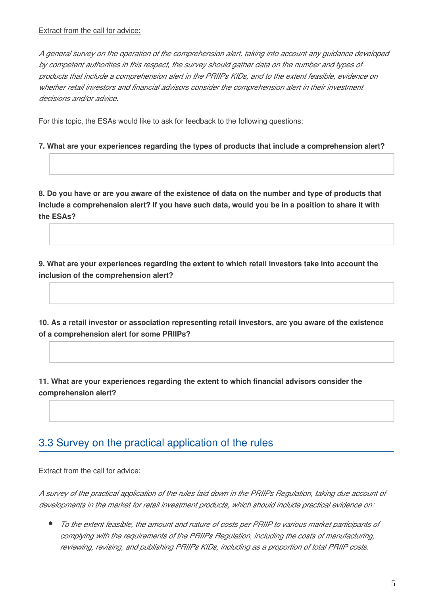*A general survey on the operation of the comprehension alert, taking into account any guidance developed by competent authorities in this respect, the survey should gather data on the number and types of products that include a comprehension alert in the PRIIPs KIDs, and to the extent feasible, evidence on whether retail investors and financial advisors consider the comprehension alert in their investment decisions and/or advice.*

For this topic, the ESAs would like to ask for feedback to the following questions:

#### **7. What are your experiences regarding the types of products that include a comprehension alert?**

**8. Do you have or are you aware of the existence of data on the number and type of products that include a comprehension alert? If you have such data, would you be in a position to share it with the ESAs?**

**9. What are your experiences regarding the extent to which retail investors take into account the inclusion of the comprehension alert?**

**10. As a retail investor or association representing retail investors, are you aware of the existence of a comprehension alert for some PRIIPs?**

**11. What are your experiences regarding the extent to which financial advisors consider the comprehension alert?**

### 3.3 Survey on the practical application of the rules

#### Extract from the call for advice:

*A survey of the practical application of the rules laid down in the PRIIPs Regulation, taking due account of developments in the market for retail investment products, which should include practical evidence on:*

*To the extent feasible, the amount and nature of costs per PRIIP to various market participants of complying with the requirements of the PRIIPs Regulation, including the costs of manufacturing, reviewing, revising, and publishing PRIIPs KIDs, including as a proportion of total PRIIP costs.*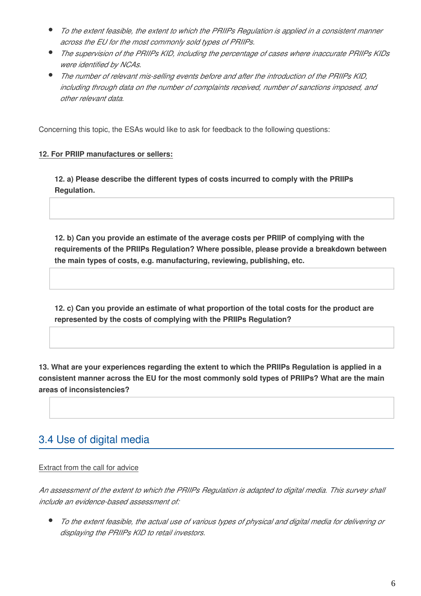- *To the extent feasible, the extent to which the PRIIPs Regulation is applied in a consistent manner across the EU for the most commonly sold types of PRIIPs.*
- *The supervision of the PRIIPs KID, including the percentage of cases where inaccurate PRIIPs KIDs were identified by NCAs.*
- *The number of relevant mis-selling events before and after the introduction of the PRIIPs KID, including through data on the number of complaints received, number of sanctions imposed, and other relevant data.*

Concerning this topic, the ESAs would like to ask for feedback to the following questions:

#### **12. For PRIIP manufactures or sellers:**

**12. a) Please describe the different types of costs incurred to comply with the PRIIPs Regulation.**

**12. b) Can you provide an estimate of the average costs per PRIIP of complying with the requirements of the PRIIPs Regulation? Where possible, please provide a breakdown between the main types of costs, e.g. manufacturing, reviewing, publishing, etc.**

**12. c) Can you provide an estimate of what proportion of the total costs for the product are represented by the costs of complying with the PRIIPs Regulation?**

**13. What are your experiences regarding the extent to which the PRIIPs Regulation is applied in a consistent manner across the EU for the most commonly sold types of PRIIPs? What are the main areas of inconsistencies?**

### 3.4 Use of digital media

#### Extract from the call for advice

*An assessment of the extent to which the PRIIPs Regulation is adapted to digital media. This survey shall include an evidence-based assessment of:*

*To the extent feasible, the actual use of various types of physical and digital media for delivering or displaying the PRIIPs KID to retail investors.*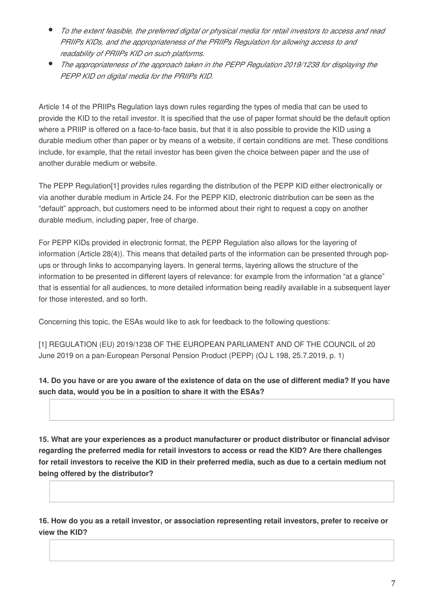- *To the extent feasible, the preferred digital or physical media for retail investors to access and read PRIIPs KIDs, and the appropriateness of the PRIIPs Regulation for allowing access to and readability of PRIIPs KID on such platforms.*
- *The appropriateness of the approach taken in the PEPP Regulation 2019/1238 for displaying the PEPP KID on digital media for the PRIIPs KID.*

Article 14 of the PRIIPs Regulation lays down rules regarding the types of media that can be used to provide the KID to the retail investor. It is specified that the use of paper format should be the default option where a PRIIP is offered on a face-to-face basis, but that it is also possible to provide the KID using a durable medium other than paper or by means of a website, if certain conditions are met. These conditions include, for example, that the retail investor has been given the choice between paper and the use of another durable medium or website.

The PEPP Regulation[1] provides rules regarding the distribution of the PEPP KID either electronically or via another durable medium in Article 24. For the PEPP KID, electronic distribution can be seen as the "default" approach, but customers need to be informed about their right to request a copy on another durable medium, including paper, free of charge.

For PEPP KIDs provided in electronic format, the PEPP Regulation also allows for the layering of information (Article 28(4)). This means that detailed parts of the information can be presented through popups or through links to accompanying layers. In general terms, layering allows the structure of the information to be presented in different layers of relevance: for example from the information "at a glance" that is essential for all audiences, to more detailed information being readily available in a subsequent layer for those interested, and so forth.

Concerning this topic, the ESAs would like to ask for feedback to the following questions:

[1] REGULATION (EU) 2019/1238 OF THE EUROPEAN PARLIAMENT AND OF THE COUNCIL of 20 June 2019 on a pan-European Personal Pension Product (PEPP) (OJ L 198, 25.7.2019, p. 1)

**14. Do you have or are you aware of the existence of data on the use of different media? If you have such data, would you be in a position to share it with the ESAs?**

**15. What are your experiences as a product manufacturer or product distributor or financial advisor regarding the preferred media for retail investors to access or read the KID? Are there challenges for retail investors to receive the KID in their preferred media, such as due to a certain medium not being offered by the distributor?** 

**16. How do you as a retail investor, or association representing retail investors, prefer to receive or view the KID?**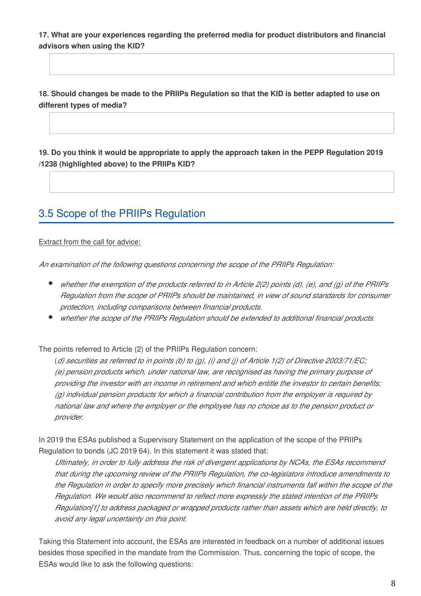**17. What are your experiences regarding the preferred media for product distributors and financial advisors when using the KID?**

**18. Should changes be made to the PRIIPs Regulation so that the KID is better adapted to use on different types of media?**

**19. Do you think it would be appropriate to apply the approach taken in the PEPP Regulation 2019 /1238 (highlighted above) to the PRIIPs KID?**

## 3.5 Scope of the PRIIPs Regulation

Extract from the call for advice:

*An examination of the following questions concerning the scope of the PRIIPs Regulation:*

- *whether the exemption of the products referred to in Article 2(2) points (d), (e), and (g) of the PRIIPs Regulation from the scope of PRIIPs should be maintained, in view of sound standards for consumer protection, including comparisons between financial products.*
- *whether the scope of the PRIIPs Regulation should be extended to additional financial products.*

The points referred to Article (2) of the PRIIPs Regulation concern:

(*d) securities as referred to in points (b) to (g), (i) and (j) of Article 1(2) of Directive 2003/71/EC; (e) pension products which, under national law, are recognised as having the primary purpose of providing the investor with an income in retirement and which entitle the investor to certain benefits; (g) individual pension products for which a financial contribution from the employer is required by national law and where the employer or the employee has no choice as to the pension product or provider.*

In 2019 the ESAs published a Supervisory Statement on the application of the scope of the PRIIPs Regulation to bonds (JC 2019 64). In this statement it was stated that:

*Ultimately, in order to fully address the risk of divergent applications by NCAs, the ESAs recommend that during the upcoming review of the PRIIPs Regulation, the co-legislators introduce amendments to the Regulation in order to specify more precisely which financial instruments fall within the scope of the Regulation. We would also recommend to reflect more expressly the stated intention of the PRIIPs Regulation[1] to address packaged or wrapped products rather than assets which are held directly, to avoid any legal uncertainty on this point.*

Taking this Statement into account, the ESAs are interested in feedback on a number of additional issues besides those specified in the mandate from the Commission. Thus, concerning the topic of scope, the ESAs would like to ask the following questions: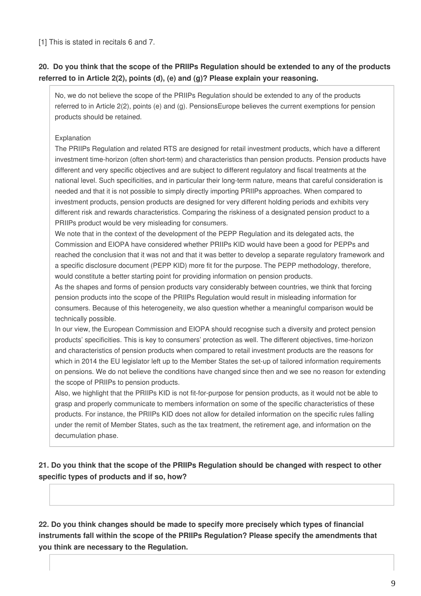[1] This is stated in recitals 6 and 7.

#### **20. Do you think that the scope of the PRIIPs Regulation should be extended to any of the products referred to in Article 2(2), points (d), (e) and (g)? Please explain your reasoning.**

No, we do not believe the scope of the PRIIPs Regulation should be extended to any of the products referred to in Article 2(2), points (e) and (g). PensionsEurope believes the current exemptions for pension products should be retained.

#### Explanation

The PRIIPs Regulation and related RTS are designed for retail investment products, which have a different investment time-horizon (often short-term) and characteristics than pension products. Pension products have different and very specific objectives and are subject to different regulatory and fiscal treatments at the national level. Such specificities, and in particular their long-term nature, means that careful consideration is needed and that it is not possible to simply directly importing PRIIPs approaches. When compared to investment products, pension products are designed for very different holding periods and exhibits very different risk and rewards characteristics. Comparing the riskiness of a designated pension product to a PRIIPs product would be very misleading for consumers.

We note that in the context of the development of the PEPP Regulation and its delegated acts, the Commission and EIOPA have considered whether PRIIPs KID would have been a good for PEPPs and reached the conclusion that it was not and that it was better to develop a separate regulatory framework and a specific disclosure document (PEPP KID) more fit for the purpose. The PEPP methodology, therefore, would constitute a better starting point for providing information on pension products.

As the shapes and forms of pension products vary considerably between countries, we think that forcing pension products into the scope of the PRIIPs Regulation would result in misleading information for consumers. Because of this heterogeneity, we also question whether a meaningful comparison would be technically possible.

In our view, the European Commission and EIOPA should recognise such a diversity and protect pension products' specificities. This is key to consumers' protection as well. The different objectives, time-horizon and characteristics of pension products when compared to retail investment products are the reasons for which in 2014 the EU legislator left up to the Member States the set-up of tailored information requirements on pensions. We do not believe the conditions have changed since then and we see no reason for extending the scope of PRIIPs to pension products.

Also, we highlight that the PRIIPs KID is not fit-for-purpose for pension products, as it would not be able to grasp and properly communicate to members information on some of the specific characteristics of these products. For instance, the PRIIPs KID does not allow for detailed information on the specific rules falling under the remit of Member States, such as the tax treatment, the retirement age, and information on the decumulation phase.

#### **21. Do you think that the scope of the PRIIPs Regulation should be changed with respect to other specific types of products and if so, how?**

**22. Do you think changes should be made to specify more precisely which types of financial instruments fall within the scope of the PRIIPs Regulation? Please specify the amendments that you think are necessary to the Regulation.**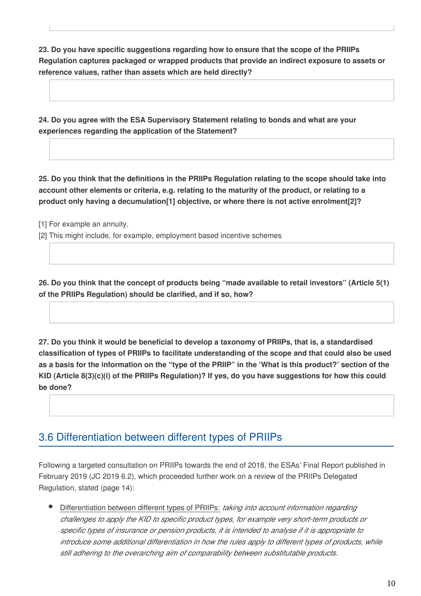**23. Do you have specific suggestions regarding how to ensure that the scope of the PRIIPs Regulation captures packaged or wrapped products that provide an indirect exposure to assets or reference values, rather than assets which are held directly?**

**24. Do you agree with the ESA Supervisory Statement relating to bonds and what are your experiences regarding the application of the Statement?**

**25. Do you think that the definitions in the PRIIPs Regulation relating to the scope should take into account other elements or criteria, e.g. relating to the maturity of the product, or relating to a product only having a decumulation[1] objective, or where there is not active enrolment[2]?**

[1] For example an annuity.

[2] This might include, for example, employment based incentive schemes

**26. Do you think that the concept of products being "made available to retail investors" (Article 5(1) of the PRIIPs Regulation) should be clarified, and if so, how?**

**27. Do you think it would be beneficial to develop a taxonomy of PRIIPs, that is, a standardised classification of types of PRIIPs to facilitate understanding of the scope and that could also be used as a basis for the information on the "type of the PRIIP" in the 'What is this product?' section of the KID (Article 8(3)(c)(i) of the PRIIPs Regulation)? If yes, do you have suggestions for how this could be done?**

## 3.6 Differentiation between different types of PRIIPs

Following a targeted consultation on PRIIPs towards the end of 2018, the ESAs' Final Report published in February 2019 (JC 2019 6.2), which proceeded further work on a review of the PRIIPs Delegated Regulation, stated (page 14):

Differentiation between different types of PRIIPs: *taking into account information regarding challenges to apply the KID to specific product types, for example very short-term products or specific types of insurance or pension products, it is intended to analyse if it is appropriate to introduce some additional differentiation in how the rules apply to different types of products, while still adhering to the overarching aim of comparability between substitutable products.*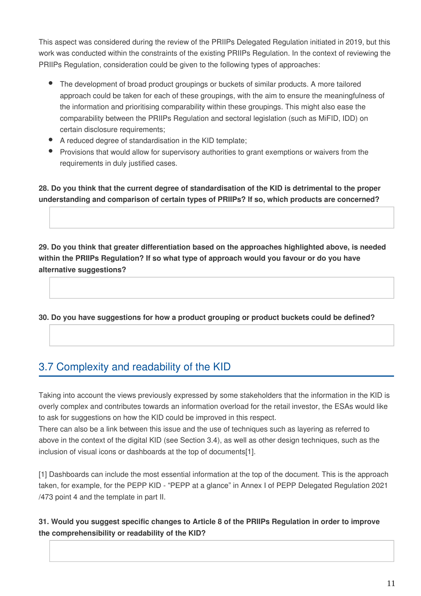This aspect was considered during the review of the PRIIPs Delegated Regulation initiated in 2019, but this work was conducted within the constraints of the existing PRIIPs Regulation. In the context of reviewing the PRIIPs Regulation, consideration could be given to the following types of approaches:

- The development of broad product groupings or buckets of similar products. A more tailored approach could be taken for each of these groupings, with the aim to ensure the meaningfulness of the information and prioritising comparability within these groupings. This might also ease the comparability between the PRIIPs Regulation and sectoral legislation (such as MiFID, IDD) on certain disclosure requirements;
- A reduced degree of standardisation in the KID template;
- **•** Provisions that would allow for supervisory authorities to grant exemptions or waivers from the requirements in duly justified cases.

**28. Do you think that the current degree of standardisation of the KID is detrimental to the proper understanding and comparison of certain types of PRIIPs? If so, which products are concerned?**

**29. Do you think that greater differentiation based on the approaches highlighted above, is needed within the PRIIPs Regulation? If so what type of approach would you favour or do you have alternative suggestions?**

**30. Do you have suggestions for how a product grouping or product buckets could be defined?**

## 3.7 Complexity and readability of the KID

Taking into account the views previously expressed by some stakeholders that the information in the KID is overly complex and contributes towards an information overload for the retail investor, the ESAs would like to ask for suggestions on how the KID could be improved in this respect.

There can also be a link between this issue and the use of techniques such as layering as referred to above in the context of the digital KID (see Section 3.4), as well as other design techniques, such as the inclusion of visual icons or dashboards at the top of documents[1].

[1] Dashboards can include the most essential information at the top of the document. This is the approach taken, for example, for the PEPP KID - "PEPP at a glance" in Annex I of PEPP Delegated Regulation 2021 /473 point 4 and the template in part II.

#### **31. Would you suggest specific changes to Article 8 of the PRIIPs Regulation in order to improve the comprehensibility or readability of the KID?**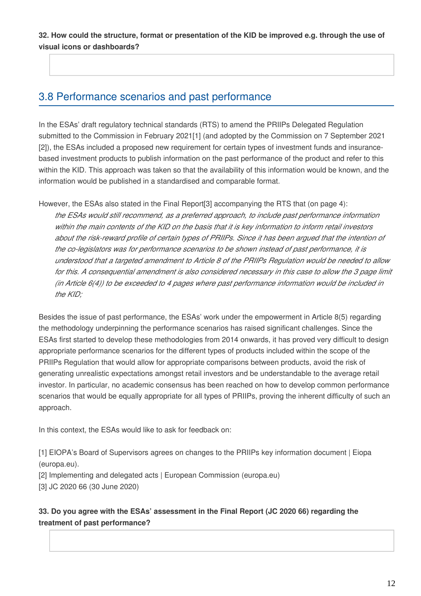**32. How could the structure, format or presentation of the KID be improved e.g. through the use of visual icons or dashboards?** 

### 3.8 Performance scenarios and past performance

In the ESAs' draft regulatory technical standards (RTS) to amend the PRIIPs Delegated Regulation submitted to the Commission in February 2021[1] (and adopted by the Commission on 7 September 2021 [2]), the ESAs included a proposed new requirement for certain types of investment funds and insurancebased investment products to publish information on the past performance of the product and refer to this within the KID. This approach was taken so that the availability of this information would be known, and the information would be published in a standardised and comparable format.

However, the ESAs also stated in the Final Report[3] accompanying the RTS that (on page 4): *the ESAs would still recommend, as a preferred approach, to include past performance information within the main contents of the KID on the basis that it is key information to inform retail investors about the risk-reward profile of certain types of PRIIPs. Since it has been argued that the intention of the co-legislators was for performance scenarios to be shown instead of past performance, it is understood that a targeted amendment to Article 8 of the PRIIPs Regulation would be needed to allow*  for this. A consequential amendment is also considered necessary in this case to allow the 3 page limit *(in Article 6(4)) to be exceeded to 4 pages where past performance information would be included in the KID;*

Besides the issue of past performance, the ESAs' work under the empowerment in Article 8(5) regarding the methodology underpinning the performance scenarios has raised significant challenges. Since the ESAs first started to develop these methodologies from 2014 onwards, it has proved very difficult to design appropriate performance scenarios for the different types of products included within the scope of the PRIIPs Regulation that would allow for appropriate comparisons between products, avoid the risk of generating unrealistic expectations amongst retail investors and be understandable to the average retail investor. In particular, no academic consensus has been reached on how to develop common performance scenarios that would be equally appropriate for all types of PRIIPs, proving the inherent difficulty of such an approach.

In this context, the ESAs would like to ask for feedback on:

[1] EIOPA's Board of Supervisors agrees on changes to the PRIIPs key information document | Eiopa (europa.eu).

[2] Implementing and delegated acts | European Commission (europa.eu)

[3] JC 2020 66 (30 June 2020)

#### **33. Do you agree with the ESAs' assessment in the Final Report (JC 2020 66) regarding the treatment of past performance?**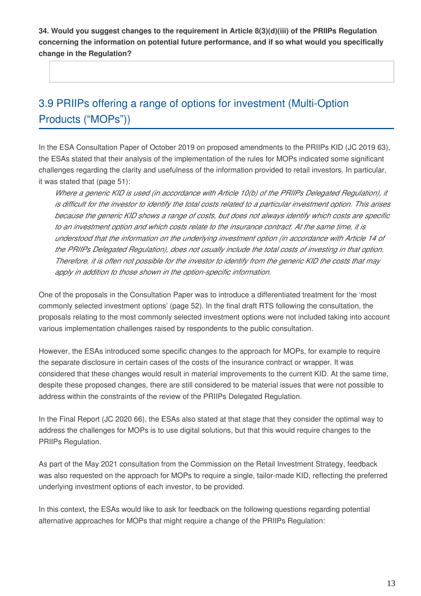**34. Would you suggest changes to the requirement in Article 8(3)(d)(iii) of the PRIIPs Regulation concerning the information on potential future performance, and if so what would you specifically change in the Regulation?** 

## 3.9 PRIIPs offering a range of options for investment (Multi-Option Products ("MOPs"))

In the ESA Consultation Paper of October 2019 on proposed amendments to the PRIIPs KID (JC 2019 63), the ESAs stated that their analysis of the implementation of the rules for MOPs indicated some significant challenges regarding the clarity and usefulness of the information provided to retail investors. In particular, it was stated that (page 51):

*Where a generic KID is used (in accordance with Article 10(b) of the PRIIPs Delegated Regulation), it is difficult for the investor to identify the total costs related to a particular investment option. This arises because the generic KID shows a range of costs, but does not always identify which costs are specific to an investment option and which costs relate to the insurance contract. At the same time, it is understood that the information on the underlying investment option (in accordance with Article 14 of the PRIIPs Delegated Regulation), does not usually include the total costs of investing in that option. Therefore, it is often not possible for the investor to identify from the generic KID the costs that may apply in addition to those shown in the option-specific information.*

One of the proposals in the Consultation Paper was to introduce a differentiated treatment for the 'most commonly selected investment options' (page 52). In the final draft RTS following the consultation, the proposals relating to the most commonly selected investment options were not included taking into account various implementation challenges raised by respondents to the public consultation.

However, the ESAs introduced some specific changes to the approach for MOPs, for example to require the separate disclosure in certain cases of the costs of the insurance contract or wrapper. It was considered that these changes would result in material improvements to the current KID. At the same time, despite these proposed changes, there are still considered to be material issues that were not possible to address within the constraints of the review of the PRIIPs Delegated Regulation.

In the Final Report (JC 2020 66), the ESAs also stated at that stage that they consider the optimal way to address the challenges for MOPs is to use digital solutions, but that this would require changes to the PRIIPs Regulation.

As part of the May 2021 consultation from the Commission on the Retail Investment Strategy, feedback was also requested on the approach for MOPs to require a single, tailor-made KID, reflecting the preferred underlying investment options of each investor, to be provided.

In this context, the ESAs would like to ask for feedback on the following questions regarding potential alternative approaches for MOPs that might require a change of the PRIIPs Regulation: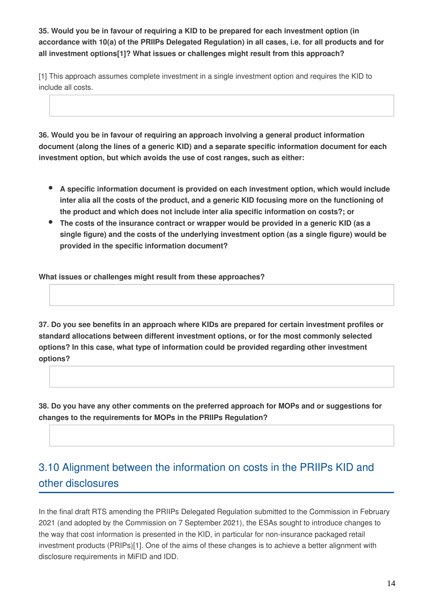**35. Would you be in favour of requiring a KID to be prepared for each investment option (in accordance with 10(a) of the PRIIPs Delegated Regulation) in all cases, i.e. for all products and for all investment options[1]? What issues or challenges might result from this approach?**

[1] This approach assumes complete investment in a single investment option and requires the KID to include all costs.

**36. Would you be in favour of requiring an approach involving a general product information document (along the lines of a generic KID) and a separate specific information document for each investment option, but which avoids the use of cost ranges, such as either:**

- **A specific information document is provided on each investment option, which would include inter alia all the costs of the product, and a generic KID focusing more on the functioning of the product and which does not include inter alia specific information on costs?; or**
- **The costs of the insurance contract or wrapper would be provided in a generic KID (as a single figure) and the costs of the underlying investment option (as a single figure) would be provided in the specific information document?**

**What issues or challenges might result from these approaches?**

**37. Do you see benefits in an approach where KIDs are prepared for certain investment profiles or standard allocations between different investment options, or for the most commonly selected options? In this case, what type of information could be provided regarding other investment options?**

**38. Do you have any other comments on the preferred approach for MOPs and or suggestions for changes to the requirements for MOPs in the PRIIPs Regulation?**

## 3.10 Alignment between the information on costs in the PRIIPs KID and other disclosures

In the final draft RTS amending the PRIIPs Delegated Regulation submitted to the Commission in February 2021 (and adopted by the Commission on 7 September 2021), the ESAs sought to introduce changes to the way that cost information is presented in the KID, in particular for non-insurance packaged retail investment products (PRIPs)[1]. One of the aims of these changes is to achieve a better alignment with disclosure requirements in MiFID and IDD.